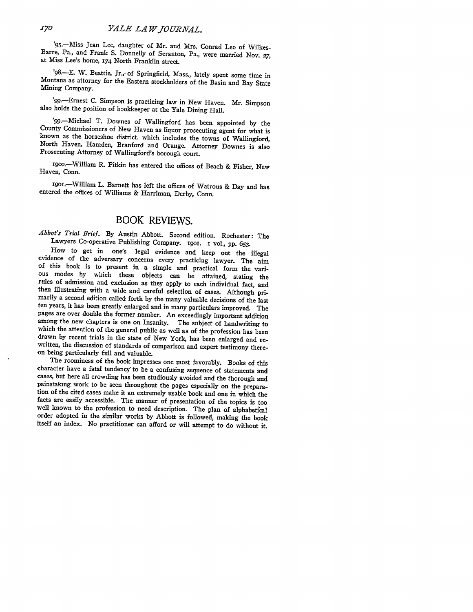'95.-Miss Jean Lee, daughter of Mr. and Mrs. Conrad Lee of Wilkes-Barre, Pa., and Frank S. Donnelly of Scranton, Pa., were married Nov. **27,** at Miss Lee's home, **174** North Franklin street.

'98.-E. W. Beattie, Jr.,- of Springfield, Mass., lately spent some time in Montana as attorney for the Eastern stockholders of the Basin and Bay State Mining Company.

'99.-Ernest **C.** Simpson is practicing law in New Haven. Mr. Simpson also holds the position of bookkeeper at the Yale Dining Hall.

'99.—Michael T. Downes of Wallingford has been appointed by the County Commissioners of New Haven as liquor prosecuting agent for what is known as the horseshoe district. which includes the towns of Wallingford, North Have Prosecuting Attorney of Wallingford's borough court.

1900.-William R. Pitkin has entered the offices of Beach & Fisher, New Haven, Conn.

IgOI-William L. Barnett has left the offices of Watrous & Day and has entered the offices of Williams & Harriman, Derby, Conn.

## BOOK REVIEWS.

*Abbot's Trial Brief.* **By** Austin Abbott. Second edition. Rochester: The Lawyers Co-operative Publishing Company. igoi. **i** vol., **pp. 653.**

evidence of the adversary concerns every practicing lawyer. The aim<br>of this book is to present in a simple and practical form the vari-<br>ous modes by which these objects can be attained, stating the<br>rules of admission and e pages are over double the former number. An exceedingly important addition among the new chapters is one on Insanity. The subject of handwriting to which the attention of the general public as well as of the profession has been drawn by recent trials in the state of New York, has been enlarged and re-<br>written, the discussion of standards of comparison and expert testimony there-<br>on being particularly full and valuable.

The roominess of the book impresses one most favorably. Books of this character have a fatal tendency to be a confusing sequence of statements and cases, but here all crowding has been studiously avoided and the thorough a painstaking work to be seen throughout the pages especially on the prepara-<br>tion of the cited cases make it an extremely usable book and one in which the<br>facts are easily accessible. The manner of presentation of the topic